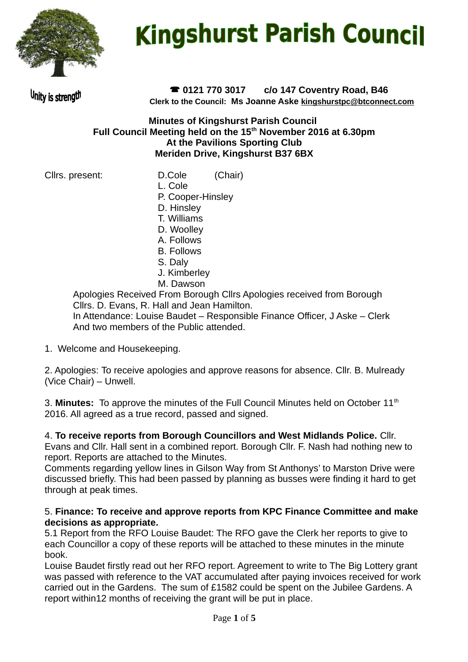

# **Kingshurst Parish Council**

Unity is strength

 **0121 770 3017 c/o 147 Coventry Road, B46 Clerk to the Council: Ms Joanne Aske [kingshurstpc@btconnect.com](mailto:kingshurstpc@btconnect.com)**

#### **Minutes of Kingshurst Parish Council Full Council Meeting held on the 15th November 2016 at 6.30pm At the Pavilions Sporting Club Meriden Drive, Kingshurst B37 6BX**

- Cllrs. present: D.Cole (Chair)
	- L. Cole
	- P. Cooper-Hinsley
	- D. Hinsley
	- T. Williams
	- D. Woolley A. Follows
	- B. Follows
	- S. Daly
	- J. Kimberley
	- M. Dawson

Apologies Received From Borough Cllrs Apologies received from Borough Cllrs. D. Evans, R. Hall and Jean Hamilton. In Attendance: Louise Baudet – Responsible Finance Officer, J Aske – Clerk And two members of the Public attended.

1. Welcome and Housekeeping.

2. Apologies: To receive apologies and approve reasons for absence. Cllr. B. Mulready (Vice Chair) – Unwell.

3. **Minutes:** To approve the minutes of the Full Council Minutes held on October 11<sup>th</sup> 2016. All agreed as a true record, passed and signed.

4. **To receive reports from Borough Councillors and West Midlands Police.** Cllr. Evans and Cllr. Hall sent in a combined report. Borough Cllr. F. Nash had nothing new to report. Reports are attached to the Minutes.

Comments regarding yellow lines in Gilson Way from St Anthonys' to Marston Drive were discussed briefly. This had been passed by planning as busses were finding it hard to get through at peak times.

#### 5. **Finance: To receive and approve reports from KPC Finance Committee and make decisions as appropriate.**

5.1 Report from the RFO Louise Baudet: The RFO gave the Clerk her reports to give to each Councillor a copy of these reports will be attached to these minutes in the minute book.

Louise Baudet firstly read out her RFO report. Agreement to write to The Big Lottery grant was passed with reference to the VAT accumulated after paying invoices received for work carried out in the Gardens. The sum of £1582 could be spent on the Jubilee Gardens. A report within12 months of receiving the grant will be put in place.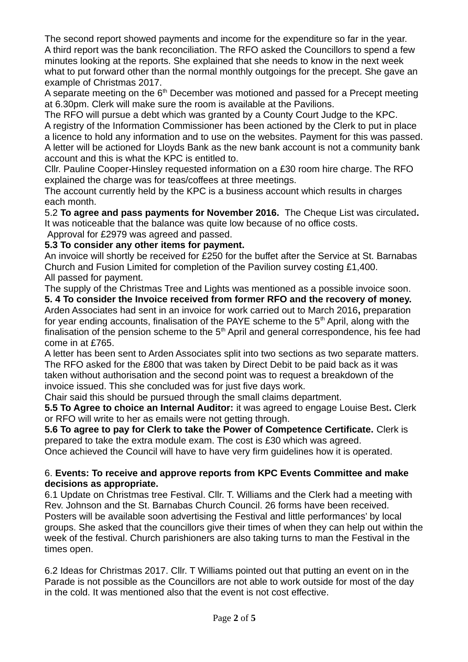The second report showed payments and income for the expenditure so far in the year. A third report was the bank reconciliation. The RFO asked the Councillors to spend a few minutes looking at the reports. She explained that she needs to know in the next week what to put forward other than the normal monthly outgoings for the precept. She gave an example of Christmas 2017.

A separate meeting on the  $6<sup>th</sup>$  December was motioned and passed for a Precept meeting at 6.30pm. Clerk will make sure the room is available at the Pavilions.

The RFO will pursue a debt which was granted by a County Court Judge to the KPC. A registry of the Information Commissioner has been actioned by the Clerk to put in place a licence to hold any information and to use on the websites. Payment for this was passed. A letter will be actioned for Lloyds Bank as the new bank account is not a community bank account and this is what the KPC is entitled to.

Cllr. Pauline Cooper-Hinsley requested information on a £30 room hire charge. The RFO explained the charge was for teas/coffees at three meetings.

The account currently held by the KPC is a business account which results in charges each month.

5.2 **To agree and pass payments for November 2016.** The Cheque List was circulated**.**  It was noticeable that the balance was quite low because of no office costs.

Approval for £2979 was agreed and passed.

**5.3 To consider any other items for payment.** 

An invoice will shortly be received for £250 for the buffet after the Service at St. Barnabas Church and Fusion Limited for completion of the Pavilion survey costing £1,400. All passed for payment.

The supply of the Christmas Tree and Lights was mentioned as a possible invoice soon. **5. 4 To consider the Invoice received from former RFO and the recovery of money.**  Arden Associates had sent in an invoice for work carried out to March 2016**,** preparation for year ending accounts, finalisation of the PAYE scheme to the  $5<sup>th</sup>$  April, along with the finalisation of the pension scheme to the  $5<sup>th</sup>$  April and general correspondence, his fee had come in at £765.

A letter has been sent to Arden Associates split into two sections as two separate matters. The RFO asked for the £800 that was taken by Direct Debit to be paid back as it was taken without authorisation and the second point was to request a breakdown of the invoice issued. This she concluded was for just five days work.

Chair said this should be pursued through the small claims department.

**5.5 To Agree to choice an Internal Auditor:** it was agreed to engage Louise Best**.** Clerk or RFO will write to her as emails were not getting through.

**5.6 To agree to pay for Clerk to take the Power of Competence Certificate.** Clerk is prepared to take the extra module exam. The cost is £30 which was agreed. Once achieved the Council will have to have very firm guidelines how it is operated.

#### 6. **Events: To receive and approve reports from KPC Events Committee and make decisions as appropriate.**

6.1 Update on Christmas tree Festival. Cllr. T. Williams and the Clerk had a meeting with Rev. Johnson and the St. Barnabas Church Council. 26 forms have been received. Posters will be available soon advertising the Festival and little performances' by local groups. She asked that the councillors give their times of when they can help out within the week of the festival. Church parishioners are also taking turns to man the Festival in the times open.

6.2 Ideas for Christmas 2017. Cllr. T Williams pointed out that putting an event on in the Parade is not possible as the Councillors are not able to work outside for most of the day in the cold. It was mentioned also that the event is not cost effective.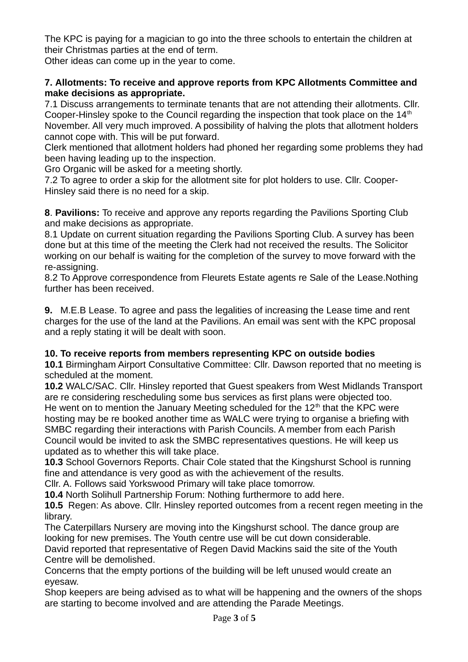The KPC is paying for a magician to go into the three schools to entertain the children at their Christmas parties at the end of term.

Other ideas can come up in the year to come.

#### **7. Allotments: To receive and approve reports from KPC Allotments Committee and make decisions as appropriate.**

7.1 Discuss arrangements to terminate tenants that are not attending their allotments. Cllr. Cooper-Hinsley spoke to the Council regarding the inspection that took place on the  $14<sup>th</sup>$ November. All very much improved. A possibility of halving the plots that allotment holders cannot cope with. This will be put forward.

Clerk mentioned that allotment holders had phoned her regarding some problems they had been having leading up to the inspection.

Gro Organic will be asked for a meeting shortly.

7.2 To agree to order a skip for the allotment site for plot holders to use. Cllr. Cooper-Hinsley said there is no need for a skip.

**8**. **Pavilions:** To receive and approve any reports regarding the Pavilions Sporting Club and make decisions as appropriate.

8.1 Update on current situation regarding the Pavilions Sporting Club. A survey has been done but at this time of the meeting the Clerk had not received the results. The Solicitor working on our behalf is waiting for the completion of the survey to move forward with the re-assigning.

8.2 To Approve correspondence from Fleurets Estate agents re Sale of the Lease.Nothing further has been received.

**9.** M.E.B Lease. To agree and pass the legalities of increasing the Lease time and rent charges for the use of the land at the Pavilions. An email was sent with the KPC proposal and a reply stating it will be dealt with soon.

#### **10. To receive reports from members representing KPC on outside bodies**

**10.1** Birmingham Airport Consultative Committee: Cllr. Dawson reported that no meeting is scheduled at the moment.

**10.2** WALC/SAC. Cllr. Hinsley reported that Guest speakers from West Midlands Transport are re considering rescheduling some bus services as first plans were objected too. He went on to mention the January Meeting scheduled for the  $12<sup>th</sup>$  that the KPC were hosting may be re booked another time as WALC were trying to organise a briefing with SMBC regarding their interactions with Parish Councils. A member from each Parish Council would be invited to ask the SMBC representatives questions. He will keep us updated as to whether this will take place.

**10.3** School Governors Reports. Chair Cole stated that the Kingshurst School is running fine and attendance is very good as with the achievement of the results.

Cllr. A. Follows said Yorkswood Primary will take place tomorrow.

**10.4** North Solihull Partnership Forum: Nothing furthermore to add here.

**10.5** Regen: As above. Cllr. Hinsley reported outcomes from a recent regen meeting in the library.

The Caterpillars Nursery are moving into the Kingshurst school. The dance group are looking for new premises. The Youth centre use will be cut down considerable.

David reported that representative of Regen David Mackins said the site of the Youth Centre will be demolished.

Concerns that the empty portions of the building will be left unused would create an eyesaw.

Shop keepers are being advised as to what will be happening and the owners of the shops are starting to become involved and are attending the Parade Meetings.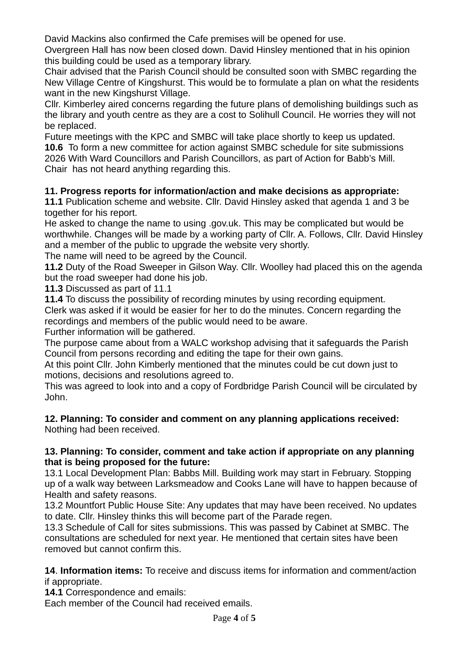David Mackins also confirmed the Cafe premises will be opened for use. Overgreen Hall has now been closed down. David Hinsley mentioned that in his opinion this building could be used as a temporary library.

Chair advised that the Parish Council should be consulted soon with SMBC regarding the New Village Centre of Kingshurst. This would be to formulate a plan on what the residents want in the new Kingshurst Village.

Cllr. Kimberley aired concerns regarding the future plans of demolishing buildings such as the library and youth centre as they are a cost to Solihull Council. He worries they will not be replaced.

Future meetings with the KPC and SMBC will take place shortly to keep us updated. **10.6** To form a new committee for action against SMBC schedule for site submissions 2026 With Ward Councillors and Parish Councillors, as part of Action for Babb's Mill. Chair has not heard anything regarding this.

## **11. Progress reports for information/action and make decisions as appropriate:**

**11.1** Publication scheme and website. Cllr. David Hinsley asked that agenda 1 and 3 be together for his report.

He asked to change the name to using .gov.uk. This may be complicated but would be worthwhile. Changes will be made by a working party of Cllr. A. Follows, Cllr. David Hinsley and a member of the public to upgrade the website very shortly.

The name will need to be agreed by the Council.

**11.2** Duty of the Road Sweeper in Gilson Way. Cllr. Woolley had placed this on the agenda but the road sweeper had done his job.

**11.3** Discussed as part of 11.1

**11.4** To discuss the possibility of recording minutes by using recording equipment. Clerk was asked if it would be easier for her to do the minutes. Concern regarding the recordings and members of the public would need to be aware.

Further information will be gathered.

The purpose came about from a WALC workshop advising that it safeguards the Parish Council from persons recording and editing the tape for their own gains.

At this point Cllr. John Kimberly mentioned that the minutes could be cut down just to motions, decisions and resolutions agreed to.

This was agreed to look into and a copy of Fordbridge Parish Council will be circulated by John.

# **12. Planning: To consider and comment on any planning applications received:**

Nothing had been received.

#### **13. Planning: To consider, comment and take action if appropriate on any planning that is being proposed for the future:**

13.1 Local Development Plan: Babbs Mill. Building work may start in February. Stopping up of a walk way between Larksmeadow and Cooks Lane will have to happen because of Health and safety reasons.

13.2 Mountfort Public House Site: Any updates that may have been received. No updates to date. Cllr. Hinsley thinks this will become part of the Parade regen.

13.3 Schedule of Call for sites submissions. This was passed by Cabinet at SMBC. The consultations are scheduled for next year. He mentioned that certain sites have been removed but cannot confirm this.

**14**. **Information items:** To receive and discuss items for information and comment/action if appropriate.

**14.1** Correspondence and emails:

Each member of the Council had received emails.